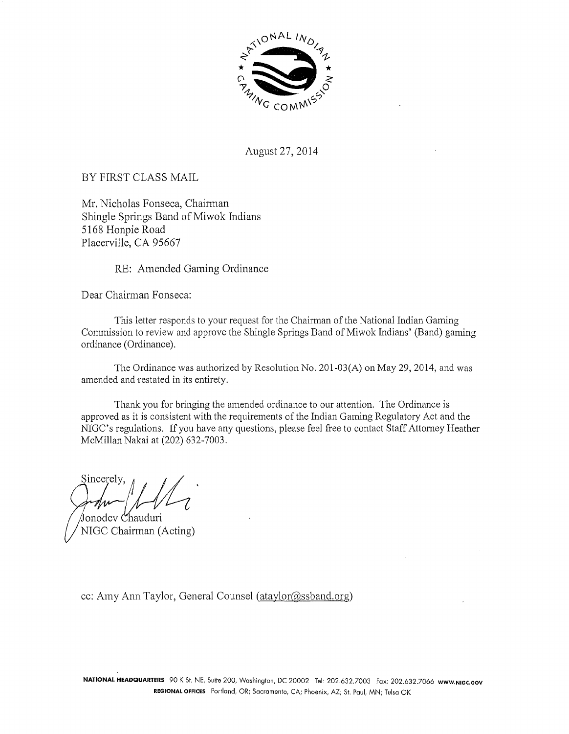

August 27, 2014

BY FIRST CLASS MAIL

Mr. Nicholas Fonseca, Chairman Shingle Springs Band of Miwok Indians 5168 Honpie Road Placerville, CA 95667

RE: Amended Gaming Ordinance

Dear Chairman Fonseca:

This letter responds to your request for the Chairman of the National Indian Gaming Commission to review and approve the Shingle Springs Band of Miwok Indians' (Band) gaming ordinance (Ordinance).

The Ordinance was authorized by Resolution No. 201-03(A) on May 29, 2014, and was amended and restated in its entirety.

Thank you for bringing the amended ordinance to our attention. The Ordinance is approved as it is consistent with the requirements of the Indian Gaming Regulatory Act and the NIGC's regulations. If you have any questions, please feel free to contact Staff Attorney Heather McMillan Nakai at (202) 632-7003.

Sincerely, *11* / J / ~ . fonodev Chauduri

NIGC Chairman (Acting)

cc: Amy Ann Taylor, General Counsel (ataylor@ssband.org)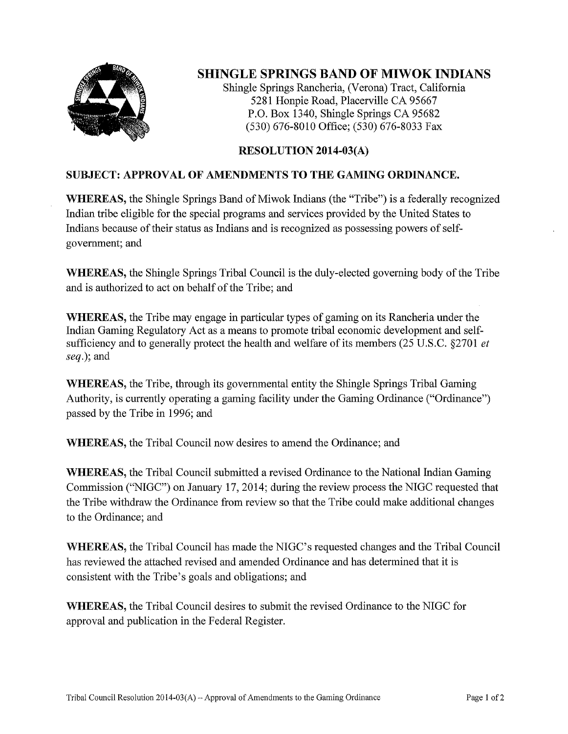

## **SHINGLE SPRINGS BAND OF MIWOK INDIANS**

Shingle Springs Rancheria, (Verona) Tract, California 5281 Honpie Road, Placerville CA 95667 P.O. Box 1340, Shingle Springs CA 95682 (530) 676-8010 Office; (530) 676-8033 Fax

### RESOLUTION 2014-03(A)

### SUBJECT: APPROVAL **OF** AMENDMENTS **TO THE** GAMING ORDINANCE.

WHEREAS, the Shingle Springs Band of Miwok Indians (the "Tribe") is a federally recognized Indian tribe eligible for the special programs and services provided by the United States to Indians because of their status as Indians and is recognized as possessing powers of selfgovernment; and

WHEREAS, the Shingle Springs Tribal Council is the duly-elected governing body of the Tribe and is authorized to act on behalf of the Tribe; and

WHEREAS, the Tribe may engage in particular types of gaming on its Rancheria under the Indian Gaming Regulatory Act as a means to promote tribal economic development and selfsufficiency and to generally protect the health and welfare of its members (25 U.S.C. §2701 *et*  seq.); and

WHEREAS, the Tribe, through its governmental entity the Shingle Springs Tribal Gaming Authority, is currently operating a gaming facility under the Gaming Ordinance ("Ordinance") passed by the Tribe in 1996; and

WHEREAS, the Tribal Council now desires to amend the Ordinance; and

WHEREAS, the Tribal Council submitted a revised Ordinance to the National Indian Gaming Commission ("NIGC") on January 17, 2014; during the review process the NIGC requested that the Tribe withdraw the Ordinance from review so that the Tribe could make additional changes to the Ordinance; and

WHEREAS, the Tribal Council has made the NIGC's requested changes and the Tribal Council has reviewed the attached revised and amended Ordinance and has determined that it is consistent with the Tribe's goals and obligations; and

WHEREAS, the Tribal Council desires to submit the revised Ordinance to the NIGC for approval and publication in the Federal Register.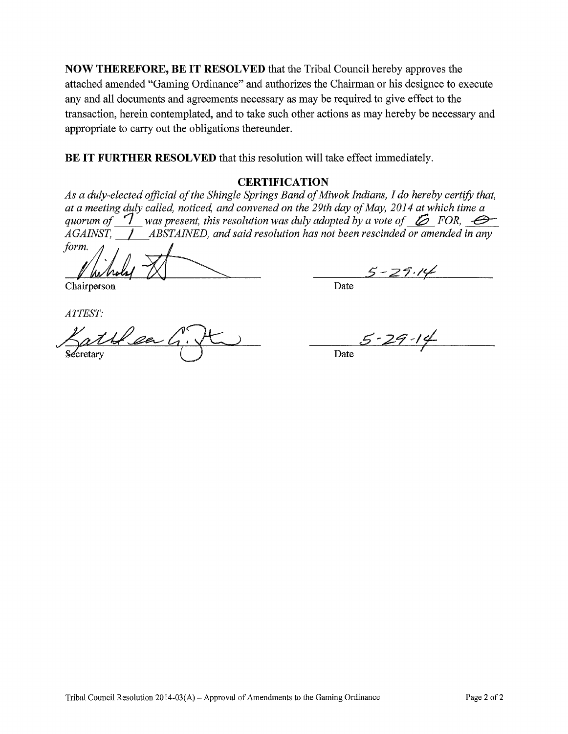**NOW THEREFORE, BE IT RESOLVED** that the Tribal Council hereby approves the attached amended "Gaming Ordinance" and authorizes the Chairman or his designee to execute any and all documents and agreements necessary as may be required to give effect to the transaction, herein contemplated, and to take such other actions as may hereby be necessary and appropriate to carry out the obligations thereunder.

**BE IT FURTHER RESOLVED** that this resolution will take effect immediately.

#### **CERTIFICATION**

*As a duly-elected official of the Shingle Springs Band of Miwok Indians, I do hereby certify that, at a meeting duly called, noticed, and convened on the 29th day of May, 2014 at which time a quorum of*  $\mathcal{T}$  was present, this resolution was duly adopted by a vote of  $\mathcal{L}$  FOR,  $\mathcal{L}$ 

*AGAINST,* / *ABSTAINED, and said resolution has not been rescinded or amended in any*  ~ / -1<[~ 5·-·27·17!  $\frac{1}{2}$  for  $\frac{1}{2}$  for  $\frac{1}{2}$ 

Chairperson Date

ATTEST:

atte en

 $5 - 29 - 14$ 

Date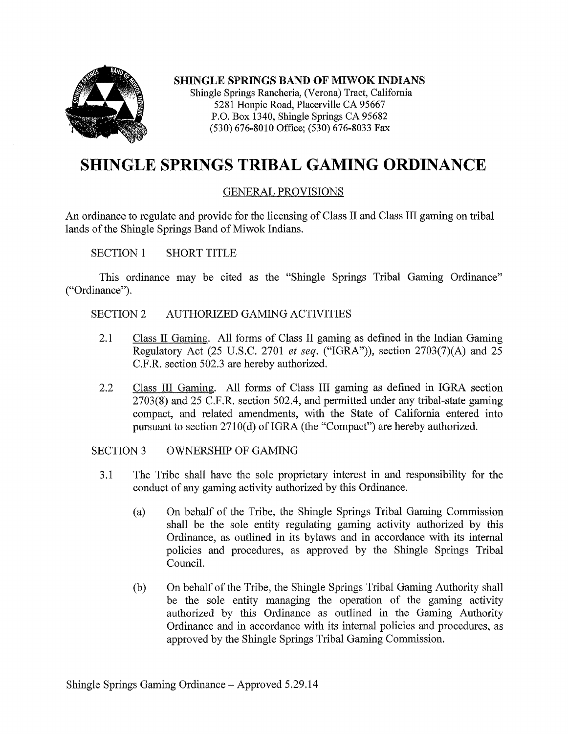

SHINGLE SPRINGS BAND OF MIWOK INDIANS Shingle Springs Rancheria, (Verona) Tract, California 5281 Honpie Road, Placerville CA 95667 P.O. Box 1340, Shingle Springs CA 95682 (530) 676-8010 Office; (530) 676-8033 Fax

# **SHINGLE SPRINGS TRIBAL GAMING ORDINANCE**

### GENERAL PROVISIONS

An ordinance to regulate and provide for the licensing of Class II and Class III gaming on tribal lands of the Shingle Springs Band of Miwok Indians.

SECTION 1 SHORT TITLE

This ordinance may be cited as the "Shingle Springs Tribal Gaming Ordinance" ("Ordinance").

#### SECTION 2 AUTHORIZED GAMING ACTIVITIES

- 2.1 Class II Gaming. All forms of Class II gaming as defined in the Indian Gaming Regulatory Act (25 U.S.C. 2701 *et seq.* ("IGRA")), section 2703(7)(A) and 25 C.F.R. section 502.3 are hereby authorized.
- 2.2 Class III Gaming. All forms of Class III gaming as defined in IGRA section 2703(8) and 25 C.F.R. section 502.4, and permitted under any tribal-state gaming compact, and related amendments, with the State of California entered into pursuant to section  $2710(d)$  of IGRA (the "Compact") are hereby authorized.

SECTION 3 OWNERSHIP OF GAMING

- 3 .1 The Tribe shall have the sole proprietary interest in and responsibility for the conduct of any gaming activity authorized by this Ordinance.
	- (a) On behalf of the Tribe, the Shingle Springs Tribal Gaming Commission shall be the sole entity regulating gaming activity authorized by this Ordinance, as outlined in its bylaws and in accordance with its internal policies and procedures, as approved by the Shingle Springs Tribal Council.
	- (b) On behalf of the Tribe, the Shingle Springs Tribal Gaming Authority shall be the sole entity managing the operation of the gaming activity authorized by this Ordinance as outlined in the Gaming Authority Ordinance and in accordance with its internal policies and procedures, as approved by the Shingle Springs Tribal Gaming Commission.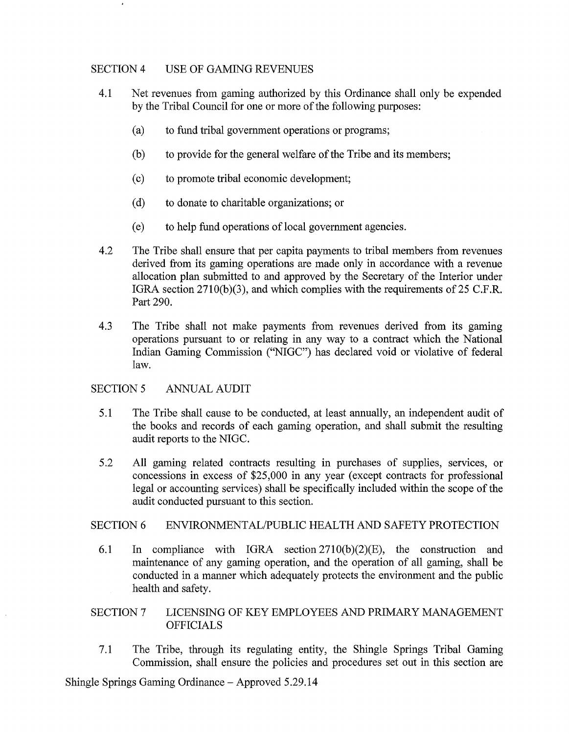#### SECTION 4 USE OF GAMING REVENUES

- 4.1 Net revenues from gaming authorized by this Ordinance shall only be expended by the Tribal Council for one or more of the following purposes:
	- (a) to fund tribal government operations or programs;
	- (b) to provide for the general welfare of the Tribe and its members;
	- ( c) to promote tribal economic development;
	- ( d) to donate to charitable organizations; or
	- ( e) to help fund operations of local government agencies.
- 4.2 The Tribe shall ensure that per capita payments to tribal members from revenues derived from its gaming operations are made only in accordance with a revenue allocation plan submitted to and approved by the Secretary of the Interior under IGRA section 2710(b)(3), and which complies with the requirements of 25 C.F.R. Part 290.
- 4.3 The Tribe shall not make payments from revenues derived from its gaming operations pursuant to or relating in any way to a contract which the National Indian Gaming Commission ("NIGC") has declared void or violative of federal law.

#### SECTION 5 ANNUAL AUDIT

- 5.1 The Tribe shall cause to be conducted, at least annually, an independent audit of the books and records of each gaming operation, and shall submit the resulting audit reports to the NIGC.
- 5 .2 All gaming related contracts resulting in purchases of supplies, services, or concessions in excess of \$25,000 in any year (except contracts for professional legal or accounting services) shall be specifically included within the scope of the audit conducted pursuant to this section.

#### SECTION 6 ENVIRONMENTAL/PUBLIC HEALTH AND SAFETY PROTECTION

6.1 In compliance with IGRA section 2710(b)(2)(E), the construction and maintenance of any gaming operation, and the operation of all gaming, shall be conducted in a manner which adequately protects the environment and the public health and safety.

#### SECTION? LICENSING OF KEY EMPLOYEES AND PRIMARY MANAGEMENT OFFICIALS

7.1 The Tribe, through its regulating entity, the Shingle Springs Tribal Gaming Commission, shall ensure the policies and procedures set out in this section are

Shingle Springs Gaming Ordinance – Approved 5.29.14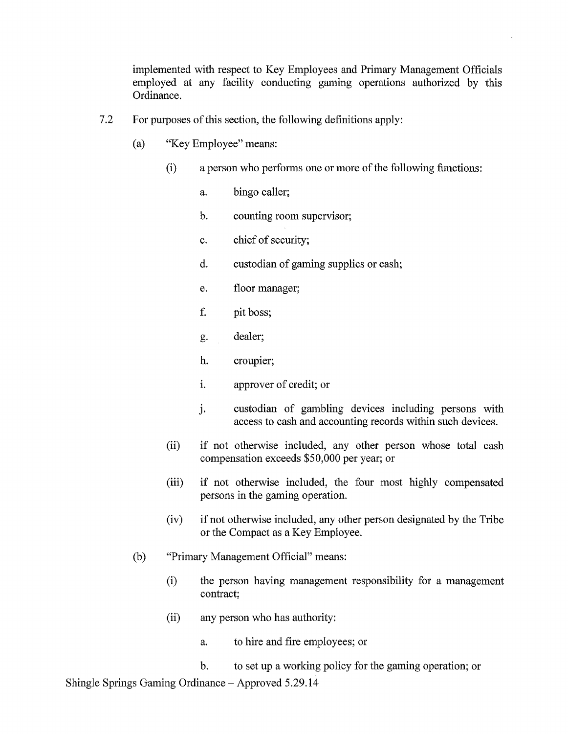implemented with respect to Key Employees and Primary Management Officials employed at any facility conducting gaming operations authorized by this Ordinance.

- 7.2 For purposes of this section, the following definitions apply:
	- (a) "Key Employee" means:
		- (i) a person who performs one or more of the following functions:
			- a. bingo caller;
			- b. counting room supervisor;
			- c. chief of security;
			- d. custodian of gaming supplies or cash;
			- e. floor manager;
			- f. pit boss;
			- g. dealer;
			- h. croupier;
			- 1. approver of credit; or
			- j. custodian of gambling devices including persons with access to cash and accounting records within such devices.
		- (ii) if not otherwise included, any other person whose total cash compensation exceeds \$50,000 per year; or
		- (iii) if not otherwise included, the four most highly compensated persons in the gaming operation.
		- (iv) if not otherwise included, any other person designated by the Tribe or the Compact as a Key Employee.
	- (b) "Primary Management Official" means:
		- (i) the person having management responsibility for a management contract;
		- (ii) any person who has authority:
			- a. to hire and fire employees; or
			- b. to set up a working policy for the gaming operation; or

Shingle Springs Gaming Ordinance – Approved 5.29.14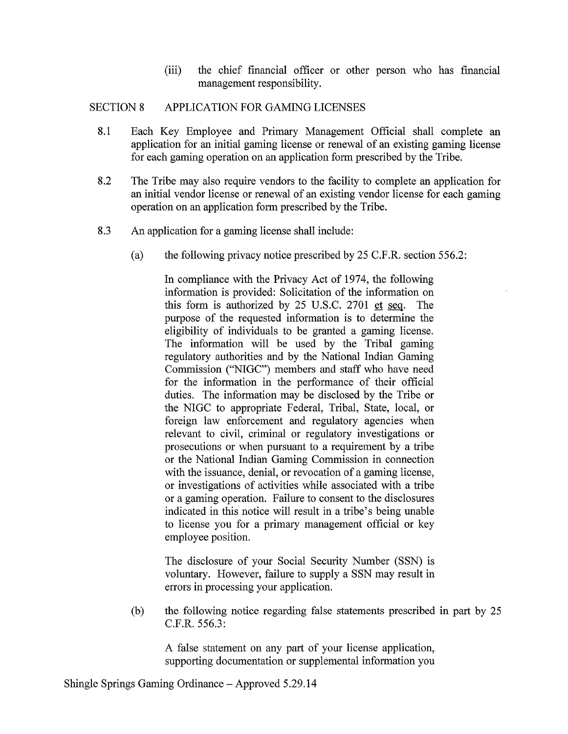(iii) the chief financial officer or other person who has financial management responsibility.

#### SECTION 8 APPLICATION FOR GAMING LICENSES

- 8.1 Each Key Employee and Primary Management Official shall complete an application for an initial gaming license or renewal of an existing gaming license for each gaming operation on an application form prescribed by the Tribe.
- 8.2 The Tribe may also require vendors to the facility to complete an application for an initial vendor license or renewal of an existing vendor license for each gaming operation on an application form prescribed by the Tribe.
- 8.3 An application for a gaming license shall include:
	- (a) the following privacy notice prescribed by 25 C.F.R. section 556.2:

In compliance with the Privacy Act of 1974, the following information is provided: Solicitation of the information on this form is authorized by 25 U.S.C. 2701 et seq. The purpose of the requested information is to determine the eligibility of individuals to be granted a gaming license. The information will be used by the Tribal gaming regulatory authorities and by the National Indian Gaming Commission ("NIGC'') members and staff who have need for the information in the performance of their official duties. The information may be disclosed by the Tribe or the NIGC to appropriate Federal, Tribal, State, local, or foreign law enforcement and regulatory agencies when relevant to civil, criminal or regulatory investigations or prosecutions or when pursuant to a requirement by a tribe or the National Indian Gaming Commission in connection with the issuance, denial, or revocation of a gaming license, or investigations of activities while associated with a tribe or a gaming operation. Failure to consent to the disclosures indicated in this notice will result in a tribe's being unable to license you for a primary management official or key employee position.

The disclosure of your Social Security Number (SSN) is voluntary. However, failure to supply a SSN may result in errors in processing your application.

(b) the following notice regarding false statements prescribed in part by 25 C.F.R. 556.3:

A false statement on any part of your license application, supporting documentation or supplemental information you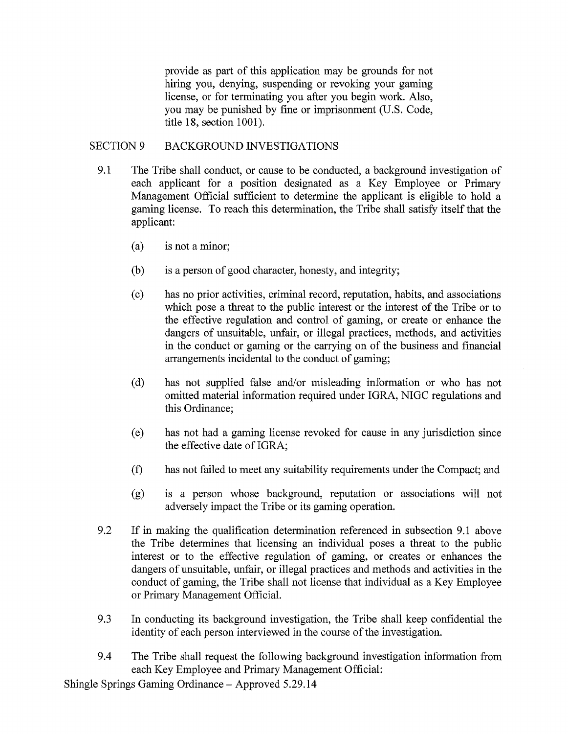provide as part of this application may be grounds for not hiring you, denying, suspending or revoking your gaming license, or for terminating you after you begin work. Also, you may be punished by fine or imprisonment (U.S. Code, title 18, section 1001).

#### SECTION 9 BACKGROUND INVESTIGATIONS

- 9 .1 The Tribe shall conduct, or cause to be conducted, a background investigation of each applicant for a position designated as a Key Employee or Primary Management Official sufficient to determine the applicant is eligible to hold a gaming license. To reach this determination, the Tribe shall satisfy itself that the applicant:
	- (a) is not a minor;
	- (b) is a person of good character, honesty, and integrity;
	- ( c) has no prior activities, criminal record, reputation, habits, and associations which pose a threat to the public interest or the interest of the Tribe or to the effective regulation and control of gaming, or create or enhance the dangers of unsuitable, unfair, or illegal practices, methods, and activities in the conduct or gaming or the carrying on of the business and financial arrangements incidental to the conduct of gaming;
	- ( d) has not supplied false and/or misleading information or who has not omitted material information required under IGRA, NIGC regulations and this Ordinance;
	- ( e) has not had a gaming license revoked for cause in any jurisdiction since the effective date of IGRA;
	- (t) has not failed to meet any suitability requirements under the Compact; and
	- (g) is a person whose background, reputation or associations will not adversely impact the Tribe or its gaming operation.
- 9.2 If in making the qualification determination referenced in subsection 9.1 above the Tribe determines that licensing an individual poses a threat to the public interest or to the effective regulation of gaming, or creates or enhances the dangers of unsuitable, unfair, or illegal practices and methods and activities in the conduct of gaming, the Tribe shall not license that individual as a Key Employee or Primary Management Official.
- 9.3 In conducting its background investigation, the Tribe shall keep confidential the identity of each person interviewed in the course of the investigation.
- 9 .4 The Tribe shall request the following background investigation information from each Key Employee and Primary Management Official:

Shingle Springs Gaming Ordinance - Approved 5 .29 .14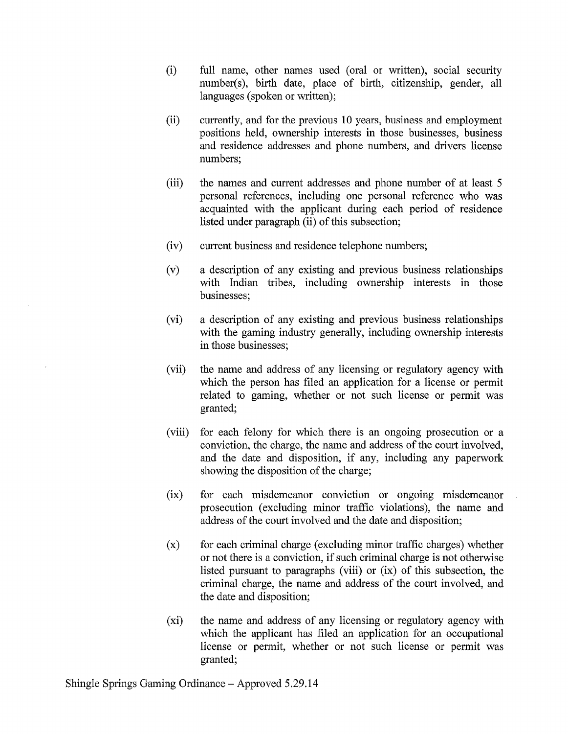- (i) full name, other names used (oral or written), social security number(s), birth date, place of birth, citizenship, gender, all languages (spoken or written);
- (ii) currently, and for the previous 10 years, business and employment positions held, ownership interests in those businesses, business and residence addresses and phone numbers, and drivers license numbers;
- (iii) the names and current addresses and phone number of at least 5 personal references, including one personal reference who was acquainted with the applicant during each period of residence listed under paragraph (ii) of this subsection;
- (iv) current business and residence telephone numbers;
- (v) a description of any existing and previous business relationships with Indian tribes, including ownership interests in those businesses;
- (vi) a description of any existing and previous business relationships with the gaming industry generally, including ownership interests in those businesses;
- (vii) the name and address of any licensing or regulatory agency with which the person has filed an application for a license or permit related to gaming, whether or not such license or permit was granted;
- (viii) for each felony for which there is an ongoing prosecution or a conviction, the charge, the name and address of the court involved, and the date and disposition, if any, including any paperwork showing the disposition of the charge;
- (ix) for each misdemeanor conviction or ongoing misdemeanor prosecution (excluding minor traffic violations), the name and address of the court involved and the date and disposition;
- $(x)$  for each criminal charge (excluding minor traffic charges) whether or not there is a conviction, if such criminal charge is not otherwise listed pursuant to paragraphs (viii) or (ix) of this subsection, the criminal charge, the name and address of the court involved, and the date and disposition;
- (xi) the name and address of any licensing or regulatory agency with which the applicant has filed an application for an occupational license or permit, whether or not such license or permit was granted;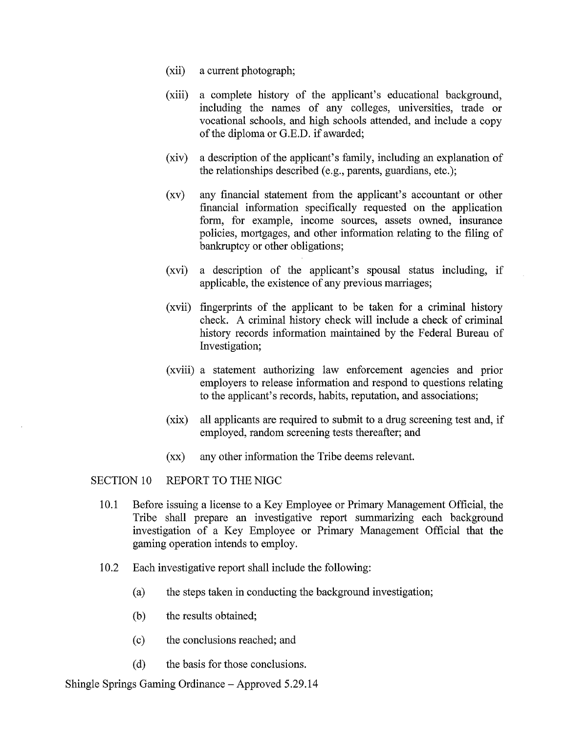- (xii) a current photograph;
- (xiii) a complete history of the applicant's educational background, including the names of any colleges, universities, trade or vocational schools, and high schools attended, and include a copy of the diploma or G.E.D. if awarded;
- (xiv) a description of the applicant's family, including an explanation of the relationships described (e.g., parents, guardians, etc.);
- (xv) any financial statement from the applicant's accountant or other financial information specifically requested on the application form, for example, income sources, assets owned, insurance policies, mortgages, and other information relating to the filing of bankruptcy or other obligations;
- (xvi) a description of the applicant's spousal status including, if applicable, the existence of any previous marriages;
- (xvii) fingerprints of the applicant to be taken for a criminal history check. A criminal history check will include a check of criminal history records information maintained by the Federal Bureau of Investigation;
- (xviii) a statement authorizing law enforcement agencies and prior employers to release information and respond to questions relating to the applicant's records, habits, reputation, and associations;
- (xix) all applicants are required to submit to a drug screening test and, if employed, random screening tests thereafter; and
- (xx) any other information the Tribe deems relevant.

#### SECTION 10 REPORT TO THE NIGC

- 10.l Before issuing a license to a Key Employee or Primary Management Official, the Tribe shall prepare an investigative report summarizing each background investigation of a Key Employee or Primary Management Official that the gaming operation intends to employ.
- 10.2 Each investigative report shall include the following:
	- (a) the steps taken in conducting the background investigation;
	- (b) the results obtained;
	- ( c) the conclusions reached; and
	- (d) the basis for those conclusions.

Shingle Springs Gaming Ordinance - Approved 5.29.14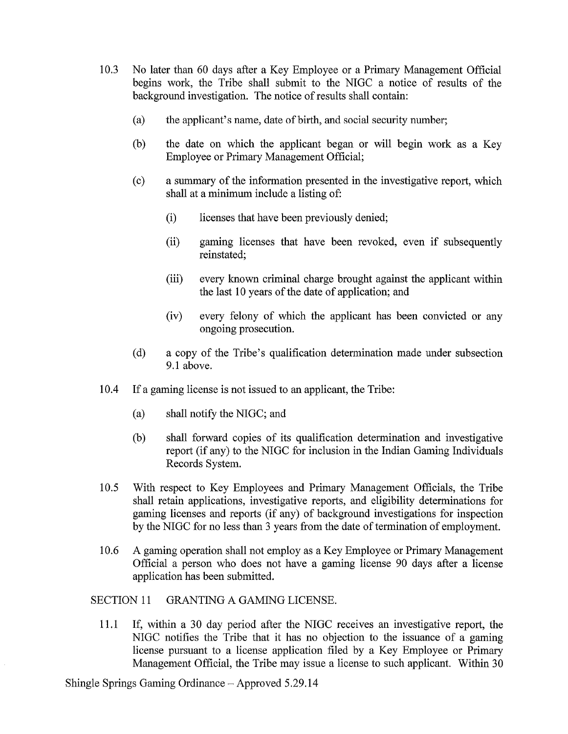- 10.3 No later than 60 days after a Key Employee or a Primary Management Official begins work, the Tribe shall submit to the NIGC a notice of results of the background investigation. The notice of results shall contain:
	- (a) the applicant's name, date of birth, and social security number;
	- (b) the date on which the applicant began or will begin work as a Key Employee or Primary Management Official;
	- ( c) a summary of the information presented in the investigative report, which shall at a minimum include a listing of:
		- (i) licenses that have been previously denied;
		- (ii) gaming licenses that have been revoked, even if subsequently reinstated;
		- (iii) every known criminal charge brought against the applicant within the last 10 years of the date of application; and
		- (iv) every felony of which the applicant has been convicted or any ongoing prosecution.
	- (d) a copy of the Tribe's qualification determination made under subsection 9.1 above.
- 10.4 If a gaming license is not issued to an applicant, the Tribe:
	- (a) shall notify the NIGC; and
	- (b) shall forward copies of its qualification determination and investigative report (if any) to the NIGC for inclusion in the Indian Gaming Individuals Records System.
- 10.5 With respect to Key Employees and Primary Management Officials, the Tribe shall retain applications, investigative reports, and eligibility determinations for gaming licenses and reports (if any) of background investigations for inspection by the NIGC for no less than 3 years from the date of termination of employment.
- 10.6 A gaming operation shall not employ as a Key Employee or Primary Management Official a person who does not have a gaming license 90 days after a license application has been submitted.

#### SECTION 11 GRANTING A GAMING LICENSE.

11.1 If, within a 30 day period after the NIGC receives an investigative report, the NIGC notifies the Tribe that it has no objection to the issuance of a gaming license pursuant to a license application filed by a Key Employee or Primary Management Official, the Tribe may issue a license to such applicant. Within 30

Shingle Springs Gaming Ordinance - Approved 5.29.14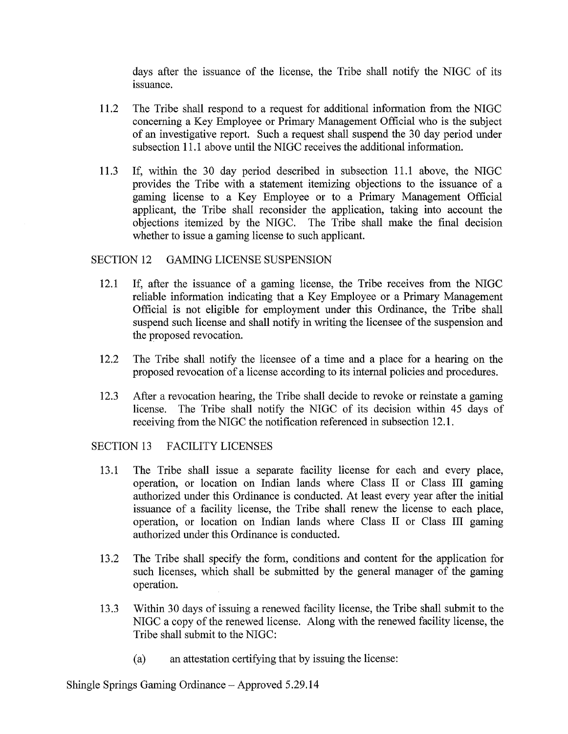days after the issuance of the license, the Tribe shall notify the NIGC of its issuance.

- 11.2 The Tribe shall respond to a request for additional information from the NIGC concerning a Key Employee or Primary Management Official who is the subject of an investigative report. Such a request shall suspend the 30 day period under subsection 11.1 above until the NIGC receives the additional information.
- 11.3 If, within the 30 day period described in subsection 11.1 above, the NIGC provides the Tribe with a statement itemizing objections to the issuance of a gaming license to a Key Employee or to a Primary Management Official applicant, the Tribe shall reconsider the application, taking into account the objections itemized by the NIGC. The Tribe shall make the final decision whether to issue a gaming license to such applicant.

#### SECTION 12 GAMING LICENSE SUSPENSION

- 12.1 If, after the issuance of a gaming license, the Tribe receives from the NIGC reliable information indicating that a Key Employee or a Primary Management Official is not eligible for employment under this Ordinance, the Tribe shall suspend such license and shall notify in writing the licensee of the suspension and the proposed revocation.
- 12.2 The Tribe shall notify the licensee of a time and a place for a hearing on the proposed revocation of a license according to its internal policies and procedures.
- 12.3 After a revocation hearing, the Tribe shall decide to revoke or reinstate a gaming license. The Tribe shall notify the NIGC of its decision within 45 days of receiving from the NIGC the notification referenced in subsection 12.1.

#### SECTION 13 FACILITY LICENSES

- 13 .1 The Tribe shall issue a separate facility license for each and every place, operation, or location on Indian lands where Class II or Class III gaming authorized under this Ordinance is conducted. At least every year after the initial issuance of a facility license, the Tribe shall renew the license to each place, operation, or location on Indian lands where Class II or Class III gaming authorized under this Ordinance is conducted.
- 13 .2 The Tribe shall specify the form, conditions and content for the application for such licenses, which shall be submitted by the general manager of the gaming operation.
- 13 .3 Within 30 days of issuing a renewed facility license, the Tribe shall submit to the NIGC a copy of the renewed license. Along with the renewed facility license, the Tribe shall submit to the NIGC:
	- (a) an attestation certifying that by issuing the license:

Shingle Springs Gaming Ordinance – Approved 5.29.14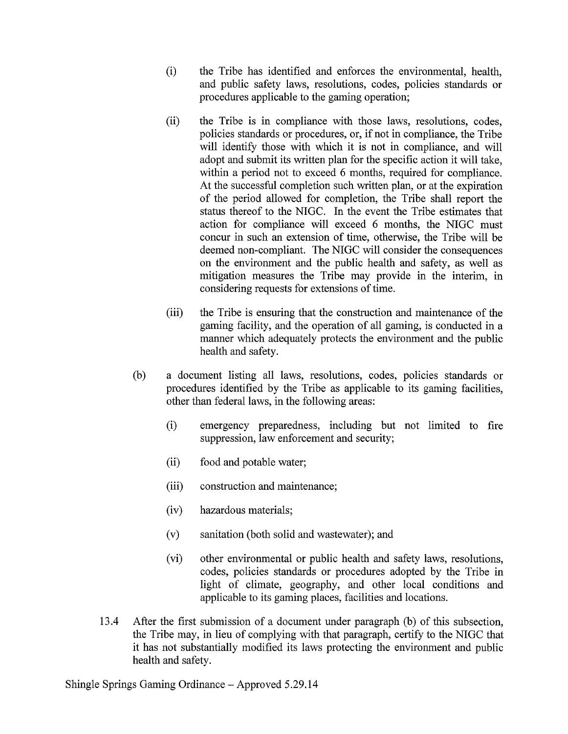- (i) the Tribe has identified and enforces the environmental, health, and public safety laws, resolutions, codes, policies standards or procedures applicable to the gaming operation;
- (ii) the Tribe is in compliance with those laws, resolutions, codes, policies standards or procedures, or, if not in compliance, the Tribe will identify those with which it is not in compliance, and will adopt and submit its written plan for the specific action it will take, within a period not to exceed 6 months, required for compliance. At the successful completion such written plan, or at the expiration of the period allowed for completion, the Tribe shall report the status thereof to the NIGC. In the event the Tribe estimates that action for compliance will exceed 6 months, the NIGC must concur in such an extension of time, otherwise, the Tribe will be deemed non-compliant. The NIGC will consider the consequences on the environment and the public health and safety, as well as mitigation measures the Tribe may provide in the interim, in considering requests for extensions of time.
- (iii) the Tribe is ensuring that the construction and maintenance of the gaming facility, and the operation of all gaming, is conducted in a manner which adequately protects the environment and the public health and safety.
- (b) a document listing all laws, resolutions, codes, policies standards or procedures identified by the Tribe as applicable to its gaming facilities, other than federal laws, in the following areas:
	- (i) emergency preparedness, including but not limited to fire suppression, law enforcement and security;
	- (ii) food and potable water;
	- (iii) construction and maintenance;
	- (iv) hazardous materials;
	- (v) sanitation (both solid and wastewater); and
	- (vi) other environmental or public health and safety laws, resolutions, codes, policies standards or procedures adopted by the Tribe in light of climate, geography, and other local conditions and applicable to its gaming places, facilities and locations.
- 13 .4 After the first submission of a document under paragraph (b) of this subsection, the Tribe may, in lieu of complying with that paragraph, certify to the NIGC that it has not substantially modified its laws protecting the environment and public health and safety.

Shingle Springs Gaming Ordinance - Approved 5 .29 .14